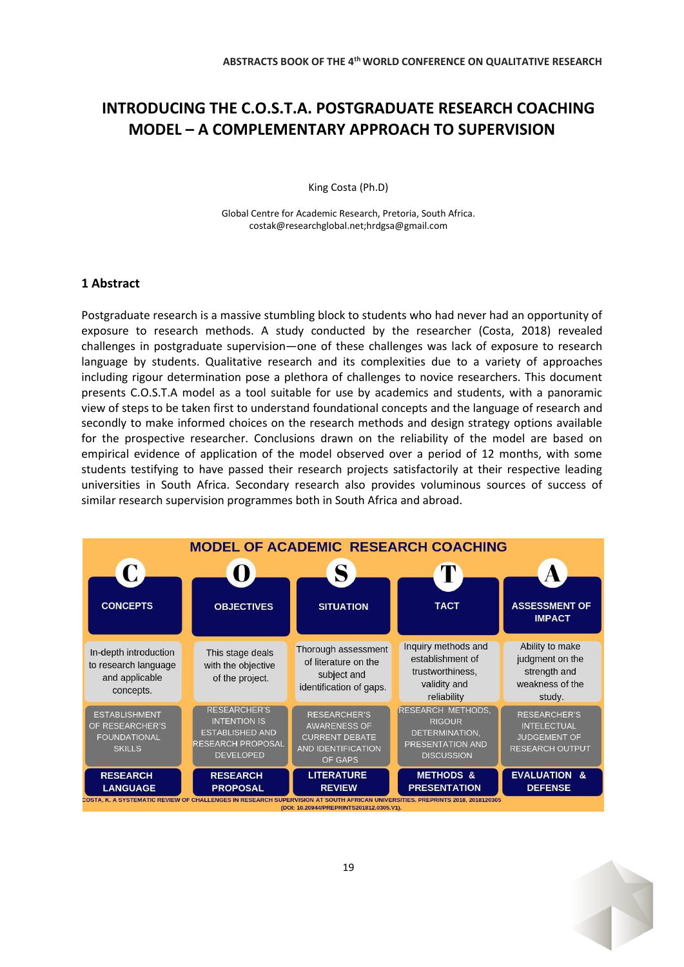# **INTRODUCING THE C.O.S.T.A. POSTGRADUATE RESEARCH COACHING MODEL – A COMPLEMENTARY APPROACH TO SUPERVISION**

King Costa (Ph.D)

Global Centre for Academic Research, Pretoria, South Africa. costak@researchglobal.net;hrdgsa@gmail.com

## **1 Abstract**

Postgraduate research is a massive stumbling block to students who had never had an opportunity of exposure to research methods. A study conducted by the researcher (Costa, 2018) revealed challenges in postgraduate supervision—one of these challenges was lack of exposure to research language by students. Qualitative research and its complexities due to a variety of approaches including rigour determination pose a plethora of challenges to novice researchers. This document presents C.O.S.T.A model as a tool suitable for use by academics and students, with a panoramic view of steps to be taken first to understand foundational concepts and the language of research and secondly to make informed choices on the research methods and design strategy options available for the prospective researcher. Conclusions drawn on the reliability of the model are based on empirical evidence of application of the model observed over a period of 12 months, with some students testifying to have passed their research projects satisfactorily at their respective leading universities in South Africa. Secondary research also provides voluminous sources of success of similar research supervision programmes both in South Africa and abroad.



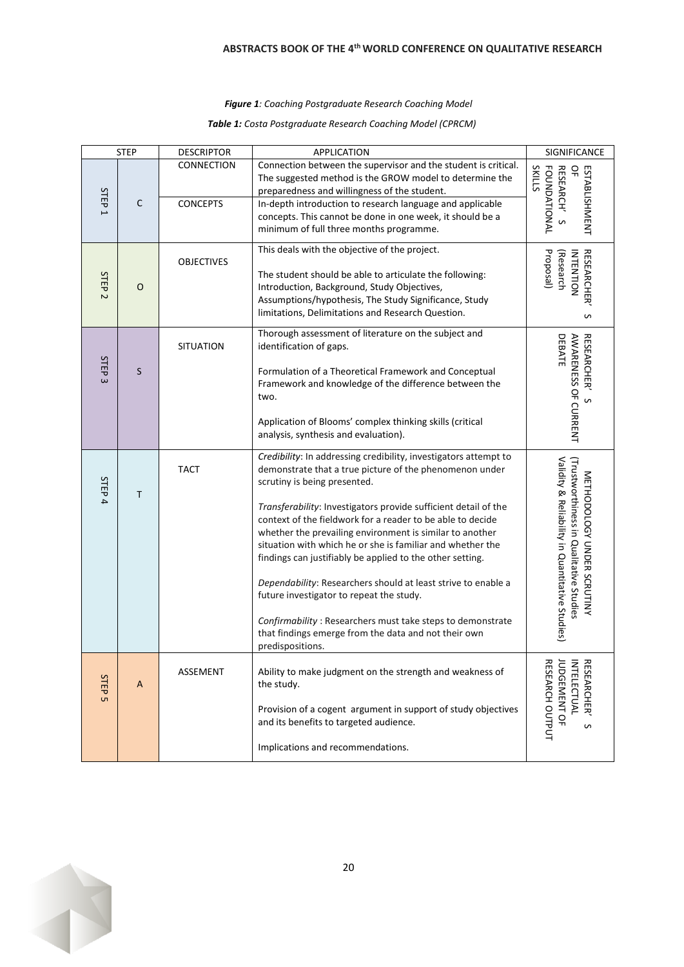#### *Figure 1: Coaching Postgraduate Research Coaching Model*

#### *Table 1: Costa Postgraduate Research Coaching Model (CPRCM)*

| <b>STEP</b>                      |             | <b>DESCRIPTOR</b>                    | <b>APPLICATION</b>                                                                                                                                                                                                                                                                                                                                                                                                                                                                                                                                                                                                                                                                                                                         | SIGNIFICANCE                                                                                                            |
|----------------------------------|-------------|--------------------------------------|--------------------------------------------------------------------------------------------------------------------------------------------------------------------------------------------------------------------------------------------------------------------------------------------------------------------------------------------------------------------------------------------------------------------------------------------------------------------------------------------------------------------------------------------------------------------------------------------------------------------------------------------------------------------------------------------------------------------------------------------|-------------------------------------------------------------------------------------------------------------------------|
| STEP<br>$\overline{\phantom{0}}$ | $\mathsf C$ | <b>CONNECTION</b><br><b>CONCEPTS</b> | Connection between the supervisor and the student is critical.<br>The suggested method is the GROW model to determine the<br>preparedness and willingness of the student.<br>In-depth introduction to research language and applicable<br>concepts. This cannot be done in one week, it should be a                                                                                                                                                                                                                                                                                                                                                                                                                                        | <b>SKILLS</b><br><b>FOUNDATIONAL</b><br>RESEARCH'S<br>윾<br>ESTABLISHMENT                                                |
| STEP<br>$\overline{C}$           | O           | <b>OBJECTIVES</b>                    | minimum of full three months programme.<br>This deals with the objective of the project.<br>The student should be able to articulate the following:<br>Introduction, Background, Study Objectives,<br>Assumptions/hypothesis, The Study Significance, Study<br>limitations, Delimitations and Research Question.                                                                                                                                                                                                                                                                                                                                                                                                                           | <b>RESEARCHER</b><br>Proposal)<br>INTENTION<br>(Research<br>S                                                           |
| STEP<br>$\omega$                 | S           | <b>SITUATION</b>                     | Thorough assessment of literature on the subject and<br>identification of gaps.<br>Formulation of a Theoretical Framework and Conceptual<br>Framework and knowledge of the difference between the<br>two.<br>Application of Blooms' complex thinking skills (critical<br>analysis, synthesis and evaluation).                                                                                                                                                                                                                                                                                                                                                                                                                              | DEBATE<br><b>AWARENESS OF CURRENT</b><br><b>RESEARCHER</b><br>$\mathfrak o$                                             |
| STEP<br>$\overline{\mathbf{4}}$  | Т           | <b>TACT</b>                          | Credibility: In addressing credibility, investigators attempt to<br>demonstrate that a true picture of the phenomenon under<br>scrutiny is being presented.<br>Transferability: Investigators provide sufficient detail of the<br>context of the fieldwork for a reader to be able to decide<br>whether the prevailing environment is similar to another<br>situation with which he or she is familiar and whether the<br>findings can justifiably be applied to the other setting.<br>Dependability: Researchers should at least strive to enable a<br>future investigator to repeat the study.<br>Confirmability: Researchers must take steps to demonstrate<br>that findings emerge from the data and not their own<br>predispositions. | Validity & Reliability in Quantitative Studies)<br>Trustworthiness in Qualitative Studies<br>METHODOLOGY UNDER SCRUTINY |
| STEP<br><b>υ</b> τ               | A           | ASSEMENT                             | Ability to make judgment on the strength and weakness of<br>the study.<br>Provision of a cogent argument in support of study objectives<br>and its benefits to targeted audience.<br>Implications and recommendations.                                                                                                                                                                                                                                                                                                                                                                                                                                                                                                                     | <b>RESEARCH OUTPUT</b><br><b>RESEARCHER</b><br><b>UDGEMENT OF</b><br><b>NTE</b><br><b>LECTUAL</b><br>S                  |